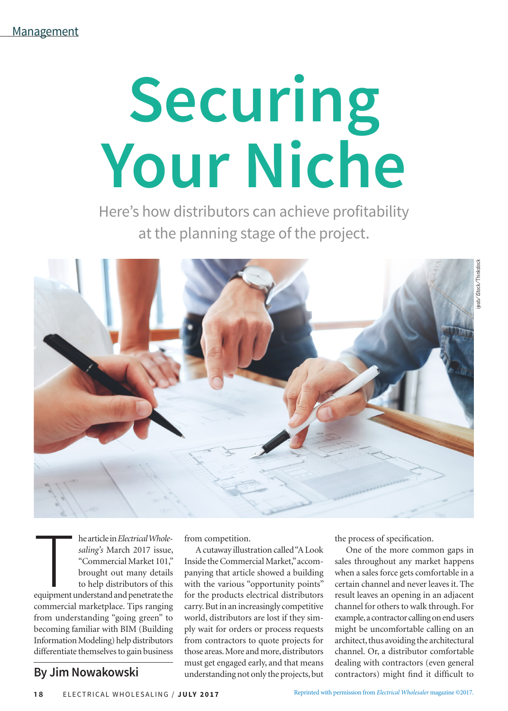## **Securing Your Niche**

Here's how distributors can achieve profitability at the planning stage of the project.



he article in *Electrical Wholesaling's March 2017* issue,<br>"Commercial Market 101," brought out many details<br>to help distributors of this<br>equipment understand and penetrate the he article in *Electrical Wholesaling's* March 2017 issue, "Commercial Market 101," brought out many details to help distributors of this commercial marketplace. Tips ranging from understanding "going green" to becoming familiar with BIM (Building Information Modeling) help distributors differentiate themselves to gain business

## **By Jim Nowakowski**

from competition.

A cutaway illustration called "A Look Inside the Commercial Market," accompanying that article showed a building with the various "opportunity points" for the products electrical distributors carry. But in an increasingly competitive world, distributors are lost if they simply wait for orders or process requests from contractors to quote projects for those areas. More and more, distributors must get engaged early, and that means understanding not only the projects, but the process of specification.

One of the more common gaps in sales throughout any market happens when a sales force gets comfortable in a certain channel and never leaves it. The result leaves an opening in an adjacent channel for others to walk through. For example, a contractor calling on end users might be uncomfortable calling on an architect, thus avoiding the architectural channel. Or, a distributor comfortable dealing with contractors (even general contractors) might find it difficult to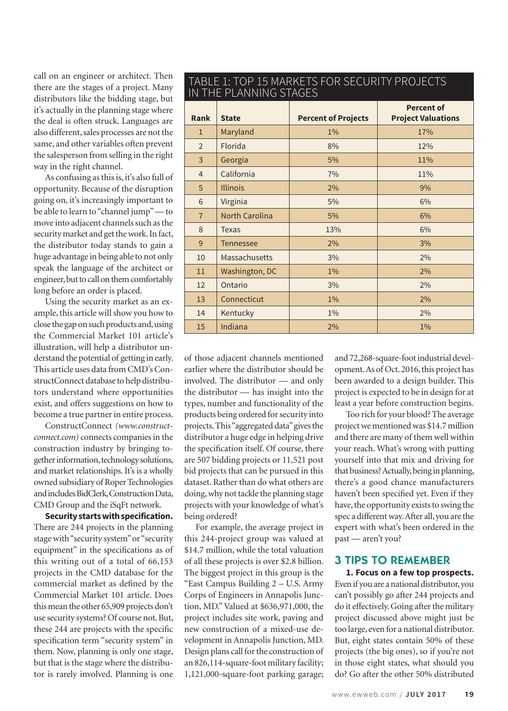call on an engineer or architect. Then there are the stages of a project. Many distributors like the bidding stage, but it's actually in the planning stage where the deal is often struck. Languages are also different, sales processes are not the same, and other variables often prevent the salesperson from selling in the right way in the right channel.

As confusing as this is, it's also full of opportunity. Because of the disruption going on, it's increasingly important to be able to learn to "channel jump" — to move into adjacent channels such as the security market and get the work. In fact, the distributor today stands to gain a huge advantage in being able to not only speak the language of the architect or engineer, but to call on them comfortably long before an order is placed.

Using the security market as an example, this article will show you how to close the gap on such products and, using the Commercial Market 101 article's illustration, will help a distributor understand the potential of getting in early. This article uses data from CMD's ConstructConnect database to help distributors understand where opportunities exist, and offers suggestions on how to become a true partner in entire process.

ConstructConnect *(www.constructconnect.com)* connects companies in the construction industry by bringing together information, technology solutions, and market relationships. It's is a wholly owned subsidiary of Roper Technologies and includes BidClerk, Construction Data, CMD Group and the iSqFt network.

**Security starts with specification.** There are 244 projects in the planning stage with "security system" or "security equipment" in the specifications as of this writing out of a total of 66,153 projects in the CMD database for the commercial market as defined by the Commercial Market 101 article. Does this mean the other 65,909 projects don't use security systems? Of course not. But, these 244 are projects with the specific specification term "security system" in them. Now, planning is only one stage, but that is the stage where the distributor is rarely involved. Planning is one

| TABLE I: TOP 15 MARNETS FOR SECORITY PROJECTS<br>IN THE PLANNING STAGES |                       |                            |                                                |
|-------------------------------------------------------------------------|-----------------------|----------------------------|------------------------------------------------|
| <b>Rank</b>                                                             | <b>State</b>          | <b>Percent of Projects</b> | <b>Percent of</b><br><b>Project Valuations</b> |
| $\mathbf{1}$                                                            | Maryland              | $1\%$                      | 17%                                            |
| $\overline{2}$                                                          | Florida               | 8%                         | 12%                                            |
| 3                                                                       | Georgia               | 5%                         | 11%                                            |
| $\overline{4}$                                                          | California            | 7%                         | 11%                                            |
| 5                                                                       | <b>Illinois</b>       | 2%                         | 9%                                             |
| 6                                                                       | Virginia              | 5%                         | 6%                                             |
| $\overline{7}$                                                          | <b>North Carolina</b> | 5%                         | 6%                                             |
| 8                                                                       | <b>Texas</b>          | 13%                        | 6%                                             |
| 9                                                                       | <b>Tennessee</b>      | 2%                         | 3%                                             |
| 10                                                                      | <b>Massachusetts</b>  | 3%                         | 2%                                             |
| 11                                                                      | Washington, DC        | 1%                         | 2%                                             |
| 12                                                                      | Ontario               | 3%                         | 2%                                             |
| 13                                                                      | Connecticut           | $1\%$                      | 2%                                             |
| 14                                                                      | Kentucky              | $1\%$                      | 2%                                             |
| 15                                                                      | Indiana               | 2%                         | 1%                                             |

TABLE 1: TOP 15 MARKETS FOR SECURITY PROJECTS

of those adjacent channels mentioned earlier where the distributor should be involved. The distributor — and only the distributor — has insight into the types, number and functionality of the products being ordered for security into projects. This "aggregated data" gives the distributor a huge edge in helping drive the specification itself. Of course, there are 507 bidding projects or 11,521 post bid projects that can be pursued in this dataset. Rather than do what others are doing, why not tackle the planning stage projects with your knowledge of what's being ordered?

For example, the average project in this 244-project group was valued at \$14.7 million, while the total valuation of all these projects is over \$2.8 billion. The biggest project in this group is the "East Campus Building 2 – U.S. Army Corps of Engineers in Annapolis Junction, MD." Valued at \$636,971,000, the project includes site work, paving and new construction of a mixed-use development in Annapolis Junction, MD. Design plans call for the construction of an 826,114-square-foot military facility; 1,121,000-square-foot parking garage;

and 72,268-square-foot industrial development. As of Oct. 2016, this project has been awarded to a design builder. This project is expected to be in design for at least a year before construction begins.

Too rich for your blood? The average project we mentioned was \$14.7 million and there are many of them well within your reach. What's wrong with putting yourself into that mix and driving for that business? Actually, being in planning, there's a good chance manufacturers haven't been specified yet. Even if they have, the opportunity exists to swing the spec a different way. After all, you are the expert with what's been ordered in the past — aren't you?

## 3 TIPS TO REMEMBER

**1. Focus on a few top prospects.** Even if you are a national distributor, you can't possibly go after 244 projects and do it effectively. Going after the military project discussed above might just be too large, even for a national distributor. But, eight states contain 50% of these projects (the big ones), so if you're not in those eight states, what should you do? Go after the other 50% distributed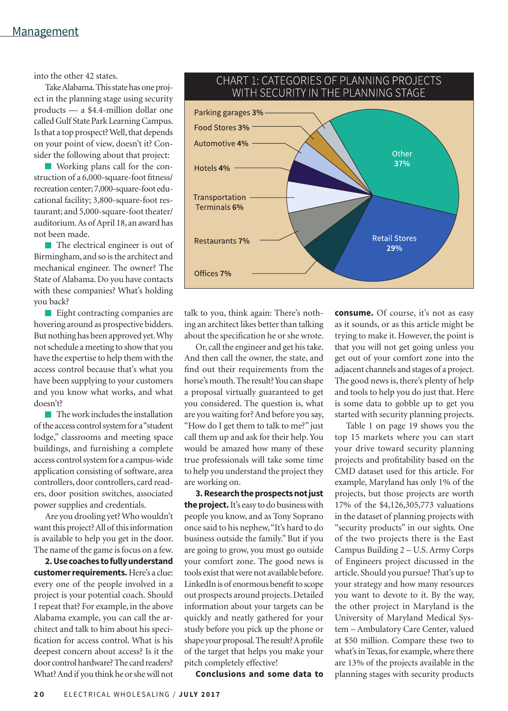into the other 42 states.

Take Alabama. This state has one project in the planning stage using security products — a \$4.4-million dollar one called Gulf State Park Learning Campus. Is that a top prospect? Well, that depends on your point of view, doesn't it? Consider the following about that project:

Working plans call for the construction of a 6,000-square-foot fitness/ recreation center; 7,000-square-foot educational facility; 3,800-square-foot restaurant; and 5,000-square-foot theater/ auditorium. As of April 18, an award has not been made.

**The electrical engineer is out of** Birmingham, and so is the architect and mechanical engineer. The owner? The State of Alabama. Do you have contacts with these companies? What's holding you back?

**Eight contracting companies are** hovering around as prospective bidders. But nothing has been approved yet. Why not schedule a meeting to show that you have the expertise to help them with the access control because that's what you have been supplying to your customers and you know what works, and what doesn't?

 $\blacksquare$  The work includes the installation of the access control system for a "student lodge," classrooms and meeting space buildings, and furnishing a complete access control system for a campus-wide application consisting of software, area controllers, door controllers, card readers, door position switches, associated power supplies and credentials.

Are you drooling yet? Who wouldn't want this project? All of this information is available to help you get in the door. The name of the game is focus on a few.

**2. Use coaches to fully understand customer requirements.** Here's a clue: every one of the people involved in a project is your potential coach. Should I repeat that? For example, in the above Alabama example, you can call the architect and talk to him about his specification for access control. What is his deepest concern about access? Is it the door control hardware? The card readers? What? And if you think he or she will not



Parking garages 3% Food Stores 3% -Automotive 4%

Hotels 4% -

Transportation Terminals 6%

Restaurants 7%

Offices 7%

Or, call the engineer and get his take. And then call the owner, the state, and find out their requirements from the horse's mouth. The result? You can shape a proposal virtually guaranteed to get you considered. The question is, what are you waiting for? And before you say, "How do I get them to talk to me?" just call them up and ask for their help. You would be amazed how many of these true professionals will take some time to help you understand the project they are working on.

**3. Research the prospects not just the project.** It's easy to do business with people you know, and as Tony Soprano once said to his nephew, "It's hard to do business outside the family." But if you are going to grow, you must go outside your comfort zone. The good news is tools exist that were not available before. LinkedIn is of enormous benefit to scope out prospects around projects. Detailed information about your targets can be quickly and neatly gathered for your study before you pick up the phone or shape your proposal. The result? A profile of the target that helps you make your pitch completely effective!



Other 37%

is some data to gobble up to get you started with security planning projects. Table 1 on page 19 shows you the top 15 markets where you can start your drive toward security planning projects and profitability based on the CMD dataset used for this article. For example, Maryland has only 1% of the projects, but those projects are worth 17% of the \$4,126,305,773 valuations in the dataset of planning projects with "security products" in our sights. One of the two projects there is the East Campus Building 2 – U.S. Army Corps of Engineers project discussed in the article. Should you pursue? That's up to your strategy and how many resources you want to devote to it. By the way, the other project in Maryland is the University of Maryland Medical System – Ambulatory Care Center, valued at \$50 million. Compare these two to what's in Texas, for example, where there are 13% of the projects available in the planning stages with security products

## CHART 1: CATEGORIES OF PLANNING PROJECTS WITH SECURITY IN THE PLANNING STAGE

**Conclusions and some data to**